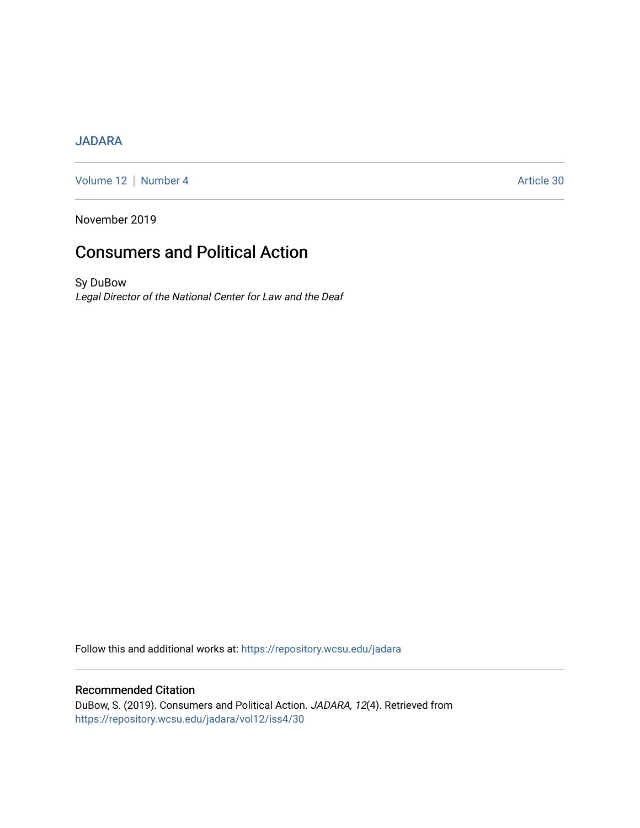# [JADARA](https://repository.wcsu.edu/jadara)

[Volume 12](https://repository.wcsu.edu/jadara/vol12) | [Number 4](https://repository.wcsu.edu/jadara/vol12/iss4) Article 30

November 2019

# Consumers and Political Action

Sy DuBow Legal Director of the National Center for Law and the Deaf

Follow this and additional works at: [https://repository.wcsu.edu/jadara](https://repository.wcsu.edu/jadara?utm_source=repository.wcsu.edu%2Fjadara%2Fvol12%2Fiss4%2F30&utm_medium=PDF&utm_campaign=PDFCoverPages)

# Recommended Citation DuBow, S. (2019). Consumers and Political Action. JADARA, 12(4). Retrieved from [https://repository.wcsu.edu/jadara/vol12/iss4/30](https://repository.wcsu.edu/jadara/vol12/iss4/30?utm_source=repository.wcsu.edu%2Fjadara%2Fvol12%2Fiss4%2F30&utm_medium=PDF&utm_campaign=PDFCoverPages)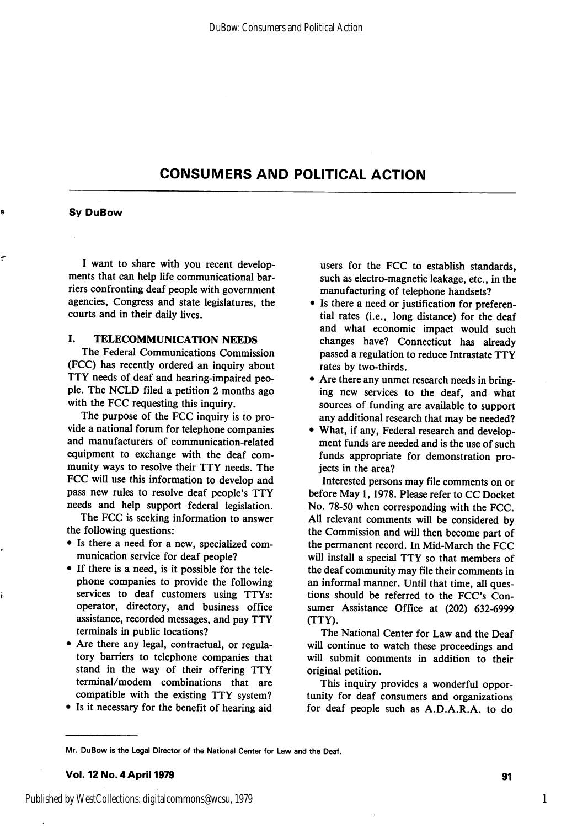# CONSUMERS AND POLITICAL ACTION

#### Sy DuBow

I want to share with you recent develop ments that can help life communicational bar riers confronting deaf people with government agencies, Congress and state legislatures, the courts and in their daily lives.

### I. TELECOMMUNICATION NEEDS

The Federal Communications Commission (FCC) has recently ordered an inquiry about TTY needs of deaf and hearing-impaired peo ple. The NCLD filed a petition 2 months ago with the FCC requesting this inquiry.

The purpose of the FCC inquiry is to pro vide a national forum for telephone companies and manufacturers of communication-related equipment to exchange with the deaf com munity ways to resolve their TTY needs. The FCC will use this information to develop and pass new rules to resolve deaf people's TTY needs and help support federal legislation.

The FCC is seeking information to answer the following questions:

- Is there a need for a new, specialized com munication service for deaf people?
- If there is a need, is it possible for the tele phone companies to provide the following services to deaf customers using TTYs: operator, directory, and business office assistance, recorded messages, and pay TTY terminals in public locations?
- Are there any legal, contractual, or regula tory barriers to telephone companies that stand in the way of their offering TTY terminal/modem combinations that are compatible with the existing TTY system?
- Is it necessary for the benefit of hearing aid

users for the FCC to establish standards, such as electro-magnetic leakage, etc., in the manufacturing of telephone handsets?

- Is there a need or justification for preferen tial rates (i.e., long distance) for the deaf and what economic impact would such changes have? Connecticut has already passed a regulation to reduce Intrastate TTY rates by two-thirds.
- Are there any unmet research needs in bring ing new services to the deaf, and what sources of funding are available to support any additional research that may be needed?
- What, if any. Federal research and develop ment funds are needed and is the use of such funds appropriate for demonstration pro jects in the area?

Interested persons may file comments on or before May 1,1978. Please refer to CC Docket No. 78-50 when corresponding with the FCC. All relevant comments will be considered by the Commission and will then become part of the permanent record. In Mid-March the FCC will install a special TTY so that members of the deaf community may file their comments in an informal manner. Until that time, all ques tions should be referred to the FCC's Con sumer Assistance Office at (202) 632-6999 (TTY).

The National Center for Law and the Deaf will continue to watch these proceedings and will submit comments in addition to their original petition.

This inquiry provides a wonderful oppor tunity for deaf consumers and organizations for deaf people such as A.D.A.R.A. to do

Mr. OuBow is the Legal Director of the National Center for Law and the Deaf.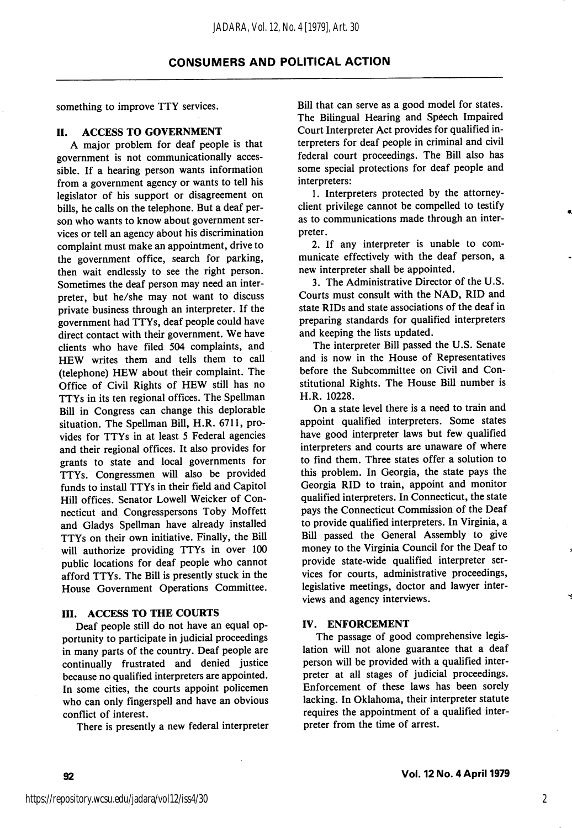something to improve TTY services.

#### II. ACCESS TO GOVERNMENT

A major problem for deaf people is that government is not communicationally acces sible. If a hearing person wants information from a government agency or wants to tell his legislator of his support or disagreement on bills, he calls on the telephone. But a deaf per son who wants to know about government ser vices or tell an agency about his discrimination complaint must make an appointment, drive to the government office, search for parking, then wait endlessly to see the right person. Sometimes the deaf person may need an inter preter, but he/she may not want to discuss private business through an interpreter. If the government had TTYs, deaf people could have direct contact with their government. We have clients who have filed 504 complaints, and HEW writes them and tells them to call (telephone) HEW about their complaint. The Office of Civil Rights of HEW still has no TTYs in its ten regional offices. The Spellman Bill in Congress can change this deplorable situation. The Spellman Bill, H.R. 6711, pro vides for TTYs in at least 5 Federal agencies and their regional offices. It also provides for grants to state and local governments for TTYs. Congressmen will also be provided funds to install TTYs in their field and Capitol Hill offices. Senator Lowell Weicker of Con necticut and Congresspersons Toby Moffett and Gladys Spellman have already installed TTYs on their own initiative. Finally, the Bill will authorize providing TTYs in over 100 public locations for deaf people who cannot afford TTYs. The Bill is presently stuck in the House Government Operations Committee.

### III. ACCESS TO THE COURTS

Deaf people still do not have an equal op portunity to participate in judicial proceedings in many parts of the country. Deaf people are continually frustrated and denied justice because no qualified interpreters are appointed. In some cities, the courts appoint policemen who can only fingerspell and have an obvious conflict of interest.

There is presently a new federal interpreter

Bill that can serve as a good model for states. The Bilingual Hearing and Speech Impaired Court Interpreter Act provides for qualified in terpreters for deaf people in criminal and civil federal court proceedings. The Bill also has some special protections for deaf people and interpreters:

1. Interpreters protected by the attorneyclient privilege cannot be compelled to testify as to communications made through an inter preter.

2. If any interpreter is unable to com municate effectively with the deaf person, a new interpreter shall be appointed.

3. The Administrative Director of the U.S. Courts must consult with the NAD, RID and state RIDs and state associations of the deaf in preparing standards for qualified interpreters and keeping the lists updated.

The interpreter Bill passed the U.S. Senate and is now in the House of Representatives before the Subcommittee on Civil and Con stitutional Rights. The House Bill number is H.R. 10228.

On a state level there is a need to train and appoint qualified interpreters. Some states have good interpreter laws but few qualified interpreters and courts are unaware of where to find them. Three states offer a solution to this problem. In Georgia, the state pays the Georgia RID to train, appoint and monitor qualified interpreters. In Connecticut, the state pays the Connecticut Commission of the Deaf to provide qualified interpreters. In Virginia, a Bill passed the General Assembly to give money to the Virginia Council for the Deaf to provide state-wide qualified interpreter ser vices for courts, administrative proceedings, legislative meetings, doctor and lawyer inter views and agency interviews.

#### IV. ENFORCEMENT

The passage of good comprehensive legis lation will not alone guarantee that a deaf person will be provided with a qualified inter preter at all stages of judicial proceedings. Enforcement of these laws has been sorely lacking. In Oklahoma, their interpreter statute requires the appointment of a qualified inter preter from the time of arrest.

2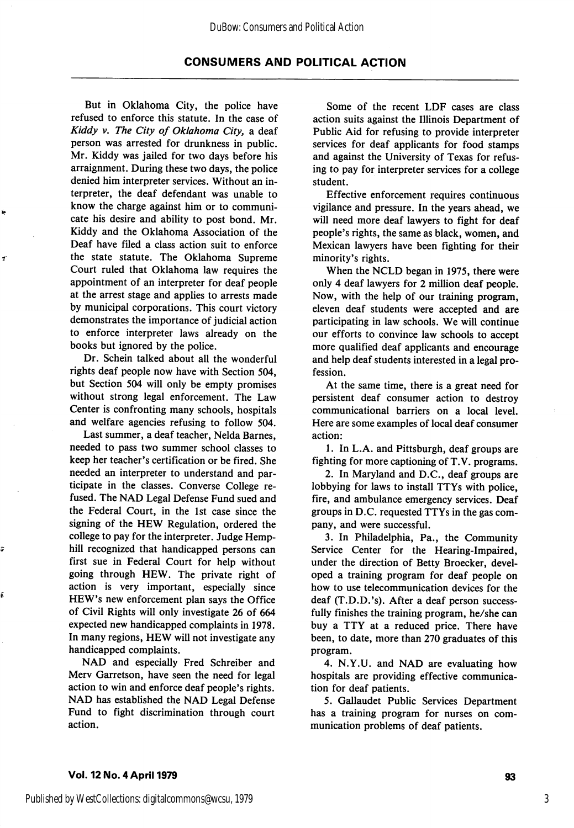## **CONSUMERS AND POLITICAL ACTION**

But in Oklahoma City, the police have refused to enforce this statute. In the case of Kiddy v. The City of Oklahoma City, a deaf person was arrested for drunkness in public. Mr. Kiddy was jailed for two days before his arraignment. During these two days, the police denied him interpreter services. Without an in terpreter, the deaf defendant was unable to know the charge against him or to communi cate his desire and ability to post bond. Mr. Kiddy and the Oklahoma Association of the Deaf have filed a class action suit to enforce the state statute. The Oklahoma Supreme Court ruled that Oklahoma law requires the appointment of an interpreter for deaf people at the arrest stage and applies to arrests made by municipal corporations. This court victory demonstrates the importance of judicial action to enforce interpreter laws already on the books but ignored by the police.

 $\tilde{\mathbf{z}}$ 

Ş

é

Dr. Schein talked about all the wonderful rights deaf people now have with Section 504, but Section 504 will only be empty promises without strong legal enforcement. The Law Center is confronting many schools, hospitals and welfare agencies refusing to follow 504.

Last summer, a deaf teacher, Nelda Barnes, needed to pass two summer school classes to keep her teacher's certification or be fired. She needed an interpreter to understand and par ticipate in the classes. Converse College re fused. The NAD Legal Defense Fund sued and the Federal Court, in the 1st case since the signing of the HEW Regulation, ordered the college to pay for the interpreter. Judge Hemphill recognized that handicapped persons can first sue in Federal Court for help without going through HEW. The private right of action is very important, especially since HEW's new enforcement plan says the Office of Civil Rights will only investigate 26 of 664 expected new handicapped complaints in 1978. In many regions, HEW will not investigate any handicapped complaints.

NAD and especially Fred Schreiber and Merv Garretson, have seen the need for legal action to win and enforce deaf people's rights. NAD has established the NAD Legal Defense Fund to fight discrimination through court action.

Some of the recent LDF cases are class action suits against the Illinois Department of Public Aid for refusing to provide interpreter services for deaf applicants for food stamps and against the University of Texas for refus ing to pay for interpreter services for a college student.

Effective enforcement requires continuous vigilance and pressure. In the years ahead, we will need more deaf lawyers to fight for deaf people's rights, the same as black, women, and Mexican lawyers have been fighting for their minority's rights.

When the NCLD began in 1975, there were only 4 deaf lawyers for 2 million deaf people. Now, with the help of our training program, eleven deaf students were accepted and are participating in law schools. We will continue our efforts to convince law schools to accept more qualified deaf applicants and encourage and help deaf students interested in a legal pro fession.

At the same time, there is a great need for persistent deaf consumer action to destroy communicational barriers on a local level. Here are some examples of local deaf consumer action:

1. In L.A. and Pittsburgh, deaf groups are fighting for more captioning of T. V. programs.

2. In Maryland and D.C., deaf groups are lobbying for laws to install TTYs with police, fire, and ambulance emergency services. Deaf groups in D.C. requested TTYs in the gas com pany, and were successful.

3. In Philadelphia, Pa., the Community Service Center for the Hearing-Impaired, under the direction of Betty Broecker, devel oped a training program for deaf people on how to use telecommunication devices for the deaf (T.D.D.'s). After a deaf person success fully finishes the training program, he/she can buy a TTY at a reduced price. There have been, to date, more than 270 graduates of this program.

4. N.Y.U. and NAD are evaluating how hospitals are providing effective communica tion for deaf patients.

5. Gallaudet Public Services Department has a training program for nurses on com munication problems of deaf patients.

## Vol. 12No.4April1979 93